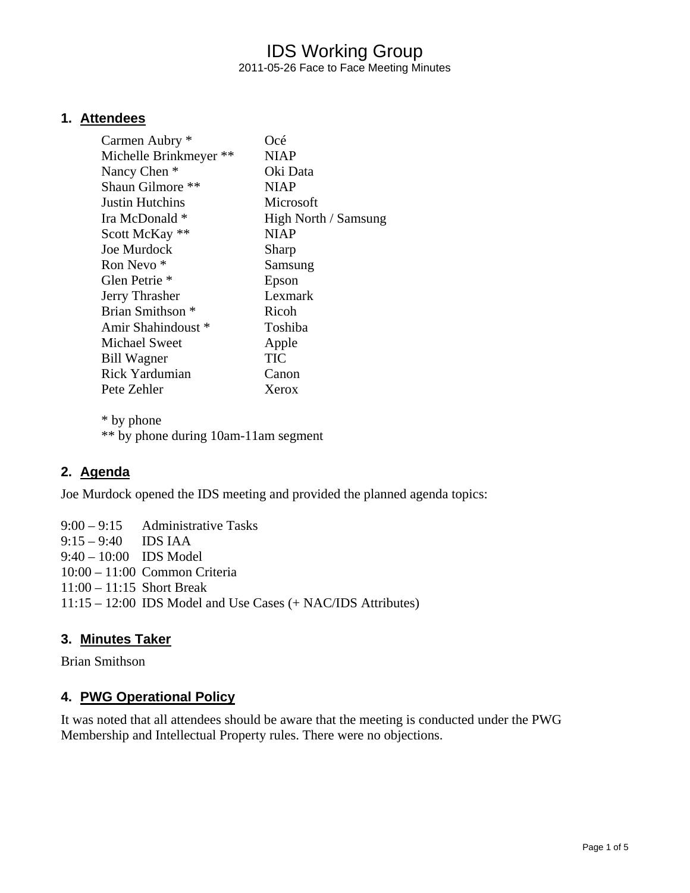# IDS Working Group 2011-05-26 Face to Face Meeting Minutes

### **1. Attendees**

| Carmen Aubry *              | Océ                  |
|-----------------------------|----------------------|
| Michelle Brinkmeyer **      | <b>NIAP</b>          |
| Nancy Chen *                | Oki Data             |
| Shaun Gilmore **            | <b>NIAP</b>          |
| <b>Justin Hutchins</b>      | Microsoft            |
| Ira McDonald *              | High North / Samsung |
| Scott McKay **              | <b>NIAP</b>          |
| Joe Murdock                 | Sharp                |
| Ron Nevo <sup>*</sup>       | Samsung              |
| Glen Petrie <sup>*</sup>    | Epson                |
| Jerry Thrasher              | Lexmark              |
| Brian Smithson <sup>*</sup> | Ricoh                |
| Amir Shahindoust *          | Toshiba              |
| Michael Sweet               | Apple                |
| <b>Bill Wagner</b>          | <b>TIC</b>           |
| Rick Yardumian              | Canon                |
| Pete Zehler                 | Xerox                |
|                             |                      |

 \* by phone \*\* by phone during 10am-11am segment

## **2. Agenda**

Joe Murdock opened the IDS meeting and provided the planned agenda topics:

9:00 – 9:15 Administrative Tasks 9:15 – 9:40 IDS IAA 9:40 – 10:00 IDS Model 10:00 – 11:00 Common Criteria 11:00 – 11:15 Short Break 11:15 – 12:00 IDS Model and Use Cases (+ NAC/IDS Attributes)

## **3. Minutes Taker**

Brian Smithson

## **4. PWG Operational Policy**

It was noted that all attendees should be aware that the meeting is conducted under the PWG Membership and Intellectual Property rules. There were no objections.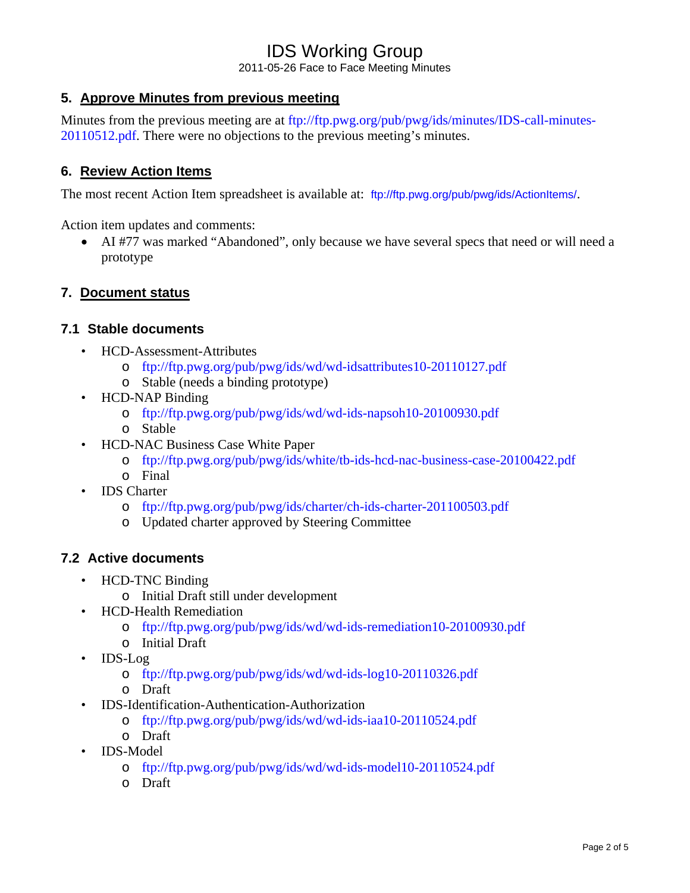2011-05-26 Face to Face Meeting Minutes

## **5. Approve Minutes from previous meeting**

Minutes from the previous meeting are at ftp://ftp.pwg.org/pub/pwg/ids/minutes/IDS-call-minutes-20110512.pdf. There were no objections to the previous meeting's minutes.

## **6. Review Action Items**

The most recent Action Item spreadsheet is available at: ftp://ftp.pwg.org/pub/pwg/ids/ActionItems/.

Action item updates and comments:

• AI #77 was marked "Abandoned", only because we have several specs that need or will need a prototype

## **7. Document status**

### **7.1 Stable documents**

- HCD-Assessment-Attributes
	- o ftp://ftp.pwg.org/pub/pwg/ids/wd/wd-idsattributes10-20110127.pdf
	- o Stable (needs a binding prototype)
- HCD-NAP Binding
	- o ftp://ftp.pwg.org/pub/pwg/ids/wd/wd-ids-napsoh10-20100930.pdf
	- o Stable
- HCD-NAC Business Case White Paper
	- o ftp://ftp.pwg.org/pub/pwg/ids/white/tb-ids-hcd-nac-business-case-20100422.pdf
	- o Final
- IDS Charter
	- o ftp://ftp.pwg.org/pub/pwg/ids/charter/ch-ids-charter-201100503.pdf
	- o Updated charter approved by Steering Committee

#### **7.2 Active documents**

- HCD-TNC Binding
	- o Initial Draft still under development
- HCD-Health Remediation
	- o ftp://ftp.pwg.org/pub/pwg/ids/wd/wd-ids-remediation10-20100930.pdf
	- o Initial Draft
- IDS-Log
	- o ftp://ftp.pwg.org/pub/pwg/ids/wd/wd-ids-log10-20110326.pdf
	- o Draft
- IDS-Identification-Authentication-Authorization
	- o ftp://ftp.pwg.org/pub/pwg/ids/wd/wd-ids-iaa10-20110524.pdf
	- o Draft
- IDS-Model
	- o ftp://ftp.pwg.org/pub/pwg/ids/wd/wd-ids-model10-20110524.pdf
	- o Draft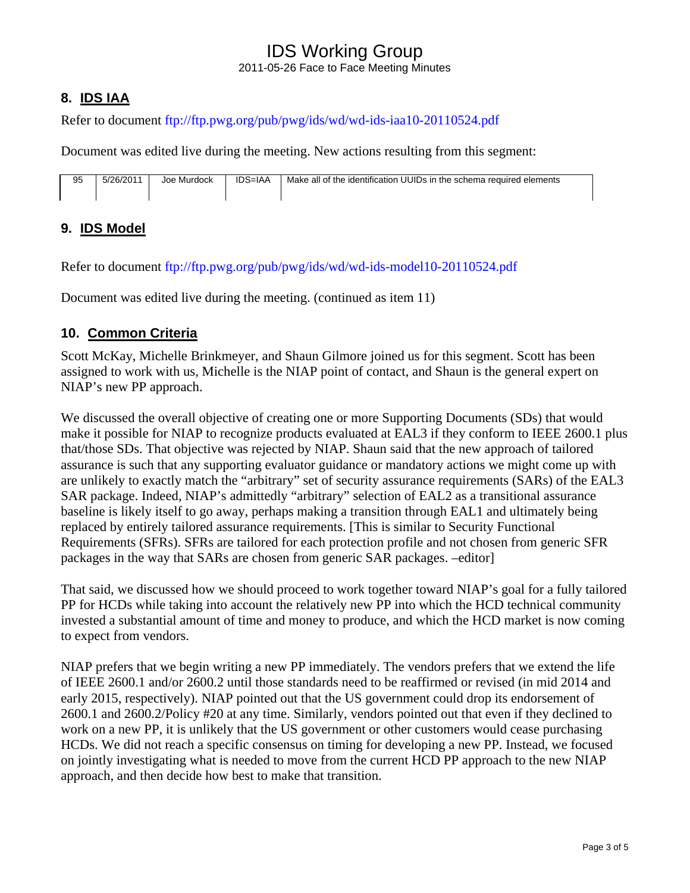2011-05-26 Face to Face Meeting Minutes

# **8. IDS IAA**

Refer to document ftp://ftp.pwg.org/pub/pwg/ids/wd/wd-ids-iaa10-20110524.pdf

Document was edited live during the meeting. New actions resulting from this segment:

| 95 | 5/26/2011 | Joe Murdock | <b>IDS=IAA</b> | Make all of the identification UUIDs in the schema required elements |
|----|-----------|-------------|----------------|----------------------------------------------------------------------|
|----|-----------|-------------|----------------|----------------------------------------------------------------------|

# **9. IDS Model**

Refer to document ftp://ftp.pwg.org/pub/pwg/ids/wd/wd-ids-model10-20110524.pdf

Document was edited live during the meeting. (continued as item 11)

## **10. Common Criteria**

Scott McKay, Michelle Brinkmeyer, and Shaun Gilmore joined us for this segment. Scott has been assigned to work with us, Michelle is the NIAP point of contact, and Shaun is the general expert on NIAP's new PP approach.

We discussed the overall objective of creating one or more Supporting Documents (SDs) that would make it possible for NIAP to recognize products evaluated at EAL3 if they conform to IEEE 2600.1 plus that/those SDs. That objective was rejected by NIAP. Shaun said that the new approach of tailored assurance is such that any supporting evaluator guidance or mandatory actions we might come up with are unlikely to exactly match the "arbitrary" set of security assurance requirements (SARs) of the EAL3 SAR package. Indeed, NIAP's admittedly "arbitrary" selection of EAL2 as a transitional assurance baseline is likely itself to go away, perhaps making a transition through EAL1 and ultimately being replaced by entirely tailored assurance requirements. [This is similar to Security Functional Requirements (SFRs). SFRs are tailored for each protection profile and not chosen from generic SFR packages in the way that SARs are chosen from generic SAR packages. –editor]

That said, we discussed how we should proceed to work together toward NIAP's goal for a fully tailored PP for HCDs while taking into account the relatively new PP into which the HCD technical community invested a substantial amount of time and money to produce, and which the HCD market is now coming to expect from vendors.

NIAP prefers that we begin writing a new PP immediately. The vendors prefers that we extend the life of IEEE 2600.1 and/or 2600.2 until those standards need to be reaffirmed or revised (in mid 2014 and early 2015, respectively). NIAP pointed out that the US government could drop its endorsement of 2600.1 and 2600.2/Policy #20 at any time. Similarly, vendors pointed out that even if they declined to work on a new PP, it is unlikely that the US government or other customers would cease purchasing HCDs. We did not reach a specific consensus on timing for developing a new PP. Instead, we focused on jointly investigating what is needed to move from the current HCD PP approach to the new NIAP approach, and then decide how best to make that transition.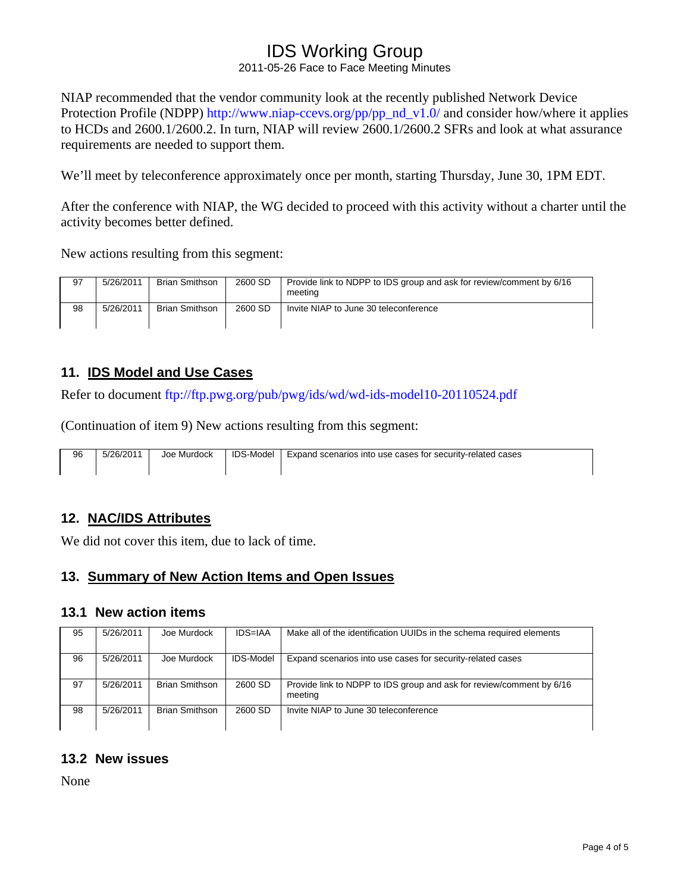2011-05-26 Face to Face Meeting Minutes

NIAP recommended that the vendor community look at the recently published Network Device Protection Profile (NDPP) http://www.niap-ccevs.org/pp/pp\_nd\_v1.0/ and consider how/where it applies to HCDs and 2600.1/2600.2. In turn, NIAP will review 2600.1/2600.2 SFRs and look at what assurance requirements are needed to support them.

We'll meet by teleconference approximately once per month, starting Thursday, June 30, 1PM EDT.

After the conference with NIAP, the WG decided to proceed with this activity without a charter until the activity becomes better defined.

New actions resulting from this segment:

| 97 | 5/26/2011 | <b>Brian Smithson</b> | 2600 SD | Provide link to NDPP to IDS group and ask for review/comment by 6/16<br>meeting |
|----|-----------|-----------------------|---------|---------------------------------------------------------------------------------|
| 98 | 5/26/2011 | <b>Brian Smithson</b> | 2600 SD | Invite NIAP to June 30 teleconference                                           |

## **11. IDS Model and Use Cases**

Refer to document ftp://ftp.pwg.org/pub/pwg/ids/wd/wd-ids-model10-20110524.pdf

(Continuation of item 9) New actions resulting from this segment:

| 96 | 5/26/2011 | Joe Murdock | <b>IDS-Model</b> | Expand scenarios into use cases for security-related cases |
|----|-----------|-------------|------------------|------------------------------------------------------------|
|    |           |             |                  |                                                            |

#### **12. NAC/IDS Attributes**

We did not cover this item, due to lack of time.

#### **13. Summary of New Action Items and Open Issues**

#### **13.1 New action items**

| 95 | 5/26/2011 | Joe Murdock           | <b>IDS=IAA</b> | Make all of the identification UUIDs in the schema required elements            |
|----|-----------|-----------------------|----------------|---------------------------------------------------------------------------------|
| 96 | 5/26/2011 | Joe Murdock           | IDS-Model      | Expand scenarios into use cases for security-related cases                      |
| 97 | 5/26/2011 | <b>Brian Smithson</b> | 2600 SD        | Provide link to NDPP to IDS group and ask for review/comment by 6/16<br>meeting |
| 98 | 5/26/2011 | <b>Brian Smithson</b> | 2600 SD        | Invite NIAP to June 30 teleconference                                           |

## **13.2 New issues**

None